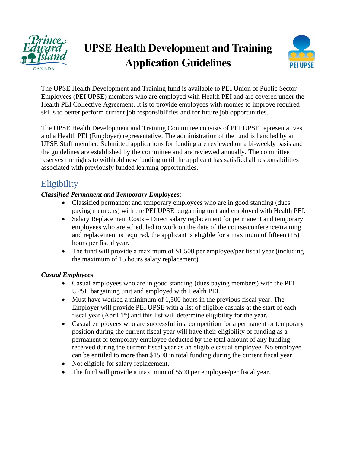



The UPSE Health Development and Training fund is available to PEI Union of Public Sector Employees (PEI UPSE) members who are employed with Health PEI and are covered under the Health PEI Collective Agreement. It is to provide employees with monies to improve required skills to better perform current job responsibilities and for future job opportunities.

The UPSE Health Development and Training Committee consists of PEI UPSE representatives and a Health PEI (Employer) representative. The administration of the fund is handled by an UPSE Staff member. Submitted applications for funding are reviewed on a bi-weekly basis and the guidelines are established by the committee and are reviewed annually. The committee reserves the rights to withhold new funding until the applicant has satisfied all responsibilities associated with previously funded learning opportunities.

# **Eligibility**

#### *Classified Permanent and Temporary Employees:*

- Classified permanent and temporary employees who are in good standing (dues paying members) with the PEI UPSE bargaining unit and employed with Health PEI.
- Salary Replacement Costs Direct salary replacement for permanent and temporary employees who are scheduled to work on the date of the course/conference/training and replacement is required, the applicant is eligible for a maximum of fifteen (15) hours per fiscal year.
- The fund will provide a maximum of \$1,500 per employee/per fiscal year (including the maximum of 15 hours salary replacement).

#### *Casual Employees*

- Casual employees who are in good standing (dues paying members) with the PEI UPSE bargaining unit and employed with Health PEI.
- Must have worked a minimum of 1,500 hours in the previous fiscal year. The Employer will provide PEI UPSE with a list of eligible casuals at the start of each fiscal year (April  $1<sup>st</sup>$ ) and this list will determine eligibility for the year.
- Casual employees who are successful in a competition for a permanent or temporary position during the current fiscal year will have their eligibility of funding as a permanent or temporary employee deducted by the total amount of any funding received during the current fiscal year as an eligible casual employee. No employee can be entitled to more than \$1500 in total funding during the current fiscal year.
- Not eligible for salary replacement.
- The fund will provide a maximum of \$500 per employee/per fiscal year.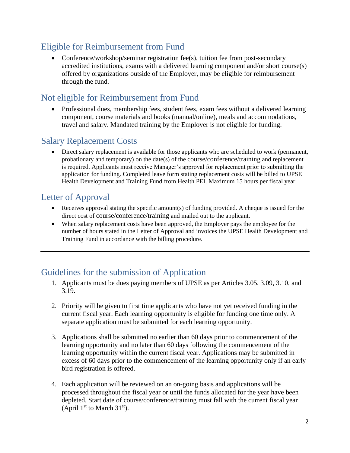# Eligible for Reimbursement from Fund

• Conference/workshop/seminar registration fee(s), tuition fee from post-secondary accredited institutions, exams with a delivered learning component and/or short course(s) offered by organizations outside of the Employer, may be eligible for reimbursement through the fund.

#### Not eligible for Reimbursement from Fund

• Professional dues, membership fees, student fees, exam fees without a delivered learning component, course materials and books (manual/online), meals and accommodations, travel and salary. Mandated training by the Employer is not eligible for funding.

#### Salary Replacement Costs

• Direct salary replacement is available for those applicants who are scheduled to work (permanent, probationary and temporary) on the date(s) of the course/conference/training and replacement is required. Applicants must receive Manager's approval for replacement prior to submitting the application for funding. Completed leave form stating replacement costs will be billed to UPSE Health Development and Training Fund from Health PEI. Maximum 15 hours per fiscal year.

#### Letter of Approval

- Receives approval stating the specific amount(s) of funding provided. A cheque is issued for the direct cost of course/conference/training and mailed out to the applicant.
- When salary replacement costs have been approved, the Employer pays the employee for the number of hours stated in the Letter of Approval and invoices the UPSE Health Development and Training Fund in accordance with the billing procedure.

## Guidelines for the submission of Application

- 1. Applicants must be dues paying members of UPSE as per Articles 3.05, 3.09, 3.10, and 3.19.
- 2. Priority will be given to first time applicants who have not yet received funding in the current fiscal year. Each learning opportunity is eligible for funding one time only. A separate application must be submitted for each learning opportunity.
- 3. Applications shall be submitted no earlier than 60 days prior to commencement of the learning opportunity and no later than 60 days following the commencement of the learning opportunity within the current fiscal year. Applications may be submitted in excess of 60 days prior to the commencement of the learning opportunity only if an early bird registration is offered.
- 4. Each application will be reviewed on an on-going basis and applications will be processed throughout the fiscal year or until the funds allocated for the year have been depleted. Start date of course/conference/training must fall with the current fiscal year (April  $1<sup>st</sup>$  to March  $31<sup>st</sup>$ ).